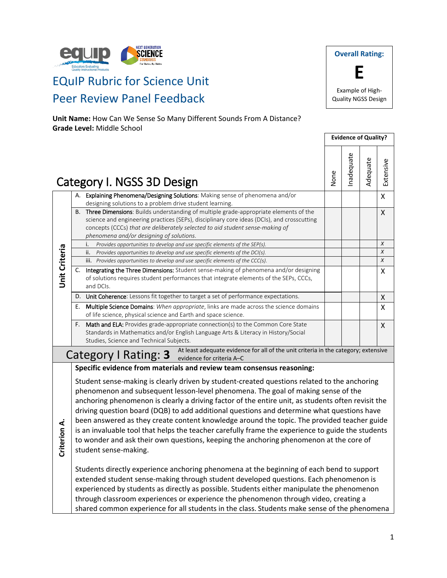

# EQuIP Rubric for Science Unit Peer Review Panel Feedback

**Unit Name:** How Can We Sense So Many Different Sounds From A Distance? **Grade Level:** Middle School

**Overall Rating: E** Example of High-Quality NGSS Design

**Evidence of Quality?**

| Category I. NGSS 3D Design |    | None                                                                                                                                                                                                                                                                                                                                                                                                                                                                                                                                                                                                                                                                                                         | nadequate | Adequate | Extensive |   |
|----------------------------|----|--------------------------------------------------------------------------------------------------------------------------------------------------------------------------------------------------------------------------------------------------------------------------------------------------------------------------------------------------------------------------------------------------------------------------------------------------------------------------------------------------------------------------------------------------------------------------------------------------------------------------------------------------------------------------------------------------------------|-----------|----------|-----------|---|
|                            |    | A. Explaining Phenomena/Designing Solutions: Making sense of phenomena and/or<br>designing solutions to a problem drive student learning.                                                                                                                                                                                                                                                                                                                                                                                                                                                                                                                                                                    |           |          |           | X |
|                            |    | B. Three Dimensions: Builds understanding of multiple grade-appropriate elements of the<br>science and engineering practices (SEPs), disciplinary core ideas (DCIs), and crosscutting<br>concepts (CCCs) that are deliberately selected to aid student sense-making of<br>phenomena and/or designing of solutions.                                                                                                                                                                                                                                                                                                                                                                                           |           |          |           | X |
|                            |    | Provides opportunities to develop and use specific elements of the SEP(s).<br>i.                                                                                                                                                                                                                                                                                                                                                                                                                                                                                                                                                                                                                             |           |          |           | X |
|                            |    | ii.<br>Provides opportunities to develop and use specific elements of the DCI(s).                                                                                                                                                                                                                                                                                                                                                                                                                                                                                                                                                                                                                            |           |          |           | X |
|                            |    | iii. Provides opportunities to develop and use specific elements of the CCC(s).                                                                                                                                                                                                                                                                                                                                                                                                                                                                                                                                                                                                                              |           |          |           | X |
| <b>Unit Criteria</b>       |    | C. Integrating the Three Dimensions: Student sense-making of phenomena and/or designing<br>of solutions requires student performances that integrate elements of the SEPs, CCCs,<br>and DCIs.                                                                                                                                                                                                                                                                                                                                                                                                                                                                                                                |           |          |           | X |
|                            |    | D. Unit Coherence: Lessons fit together to target a set of performance expectations.                                                                                                                                                                                                                                                                                                                                                                                                                                                                                                                                                                                                                         |           |          |           | X |
|                            | Е. | Multiple Science Domains: When appropriate, links are made across the science domains<br>of life science, physical science and Earth and space science.                                                                                                                                                                                                                                                                                                                                                                                                                                                                                                                                                      |           |          |           | X |
|                            | F. | Math and ELA: Provides grade-appropriate connection(s) to the Common Core State<br>Standards in Mathematics and/or English Language Arts & Literacy in History/Social<br>Studies, Science and Technical Subjects.                                                                                                                                                                                                                                                                                                                                                                                                                                                                                            |           |          |           | X |
|                            |    | At least adequate evidence for all of the unit criteria in the category; extensive<br>Category I Rating: 3<br>evidence for criteria A-C                                                                                                                                                                                                                                                                                                                                                                                                                                                                                                                                                                      |           |          |           |   |
|                            |    | Specific evidence from materials and review team consensus reasoning:                                                                                                                                                                                                                                                                                                                                                                                                                                                                                                                                                                                                                                        |           |          |           |   |
| Criterion A.               |    | Student sense-making is clearly driven by student-created questions related to the anchoring<br>phenomenon and subsequent lesson-level phenomena. The goal of making sense of the<br>anchoring phenomenon is clearly a driving factor of the entire unit, as students often revisit the<br>driving question board (DQB) to add additional questions and determine what questions have<br>been answered as they create content knowledge around the topic. The provided teacher guide<br>is an invaluable tool that helps the teacher carefully frame the experience to guide the students<br>to wonder and ask their own questions, keeping the anchoring phenomenon at the core of<br>student sense-making. |           |          |           |   |

Students directly experience anchoring phenomena at the beginning of each bend to support extended student sense-making through student developed questions. Each phenomenon is experienced by students as directly as possible. Students either manipulate the phenomenon through classroom experiences or experience the phenomenon through video, creating a shared common experience for all students in the class. Students make sense of the phenomena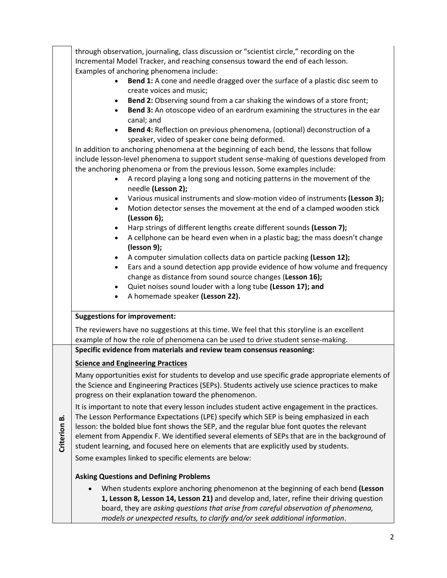|              | through observation, journaling, class discussion or "scientist circle," recording on the<br>Incremental Model Tracker, and reaching consensus toward the end of each lesson.                                                                                                                                                                                                                                                                                                   |  |  |  |  |
|--------------|---------------------------------------------------------------------------------------------------------------------------------------------------------------------------------------------------------------------------------------------------------------------------------------------------------------------------------------------------------------------------------------------------------------------------------------------------------------------------------|--|--|--|--|
|              | Examples of anchoring phenomena include:<br>Bend 1: A cone and needle dragged over the surface of a plastic disc seem to<br>create voices and music;                                                                                                                                                                                                                                                                                                                            |  |  |  |  |
|              | Bend 2: Observing sound from a car shaking the windows of a store front;<br>$\bullet$<br>Bend 3: An otoscope video of an eardrum examining the structures in the ear<br>$\bullet$<br>canal; and                                                                                                                                                                                                                                                                                 |  |  |  |  |
|              | Bend 4: Reflection on previous phenomena, (optional) deconstruction of a<br>$\bullet$<br>speaker, video of speaker cone being deformed.                                                                                                                                                                                                                                                                                                                                         |  |  |  |  |
|              | In addition to anchoring phenomena at the beginning of each bend, the lessons that follow<br>include lesson-level phenomena to support student sense-making of questions developed from<br>the anchoring phenomena or from the previous lesson. Some examples include:                                                                                                                                                                                                          |  |  |  |  |
|              | A record playing a long song and noticing patterns in the movement of the<br>needle (Lesson 2);                                                                                                                                                                                                                                                                                                                                                                                 |  |  |  |  |
|              | Various musical instruments and slow-motion video of instruments (Lesson 3);<br>$\bullet$<br>Motion detector senses the movement at the end of a clamped wooden stick<br>$\bullet$<br>(Lesson 6);                                                                                                                                                                                                                                                                               |  |  |  |  |
|              | Harp strings of different lengths create different sounds (Lesson 7);<br>$\bullet$<br>A cellphone can be heard even when in a plastic bag; the mass doesn't change<br>$\bullet$<br>(lesson 9);                                                                                                                                                                                                                                                                                  |  |  |  |  |
|              | A computer simulation collects data on particle packing (Lesson 12);<br>$\bullet$<br>Ears and a sound detection app provide evidence of how volume and frequency<br>$\bullet$                                                                                                                                                                                                                                                                                                   |  |  |  |  |
|              | change as distance from sound source changes (Lesson 16);<br>Quiet noises sound louder with a long tube (Lesson 17); and<br>$\bullet$                                                                                                                                                                                                                                                                                                                                           |  |  |  |  |
|              | A homemade speaker (Lesson 22).<br>$\bullet$                                                                                                                                                                                                                                                                                                                                                                                                                                    |  |  |  |  |
|              | <b>Suggestions for improvement:</b>                                                                                                                                                                                                                                                                                                                                                                                                                                             |  |  |  |  |
|              | The reviewers have no suggestions at this time. We feel that this storyline is an excellent<br>example of how the role of phenomena can be used to drive student sense-making.                                                                                                                                                                                                                                                                                                  |  |  |  |  |
|              | Specific evidence from materials and review team consensus reasoning:                                                                                                                                                                                                                                                                                                                                                                                                           |  |  |  |  |
|              | <b>Science and Engineering Practices</b>                                                                                                                                                                                                                                                                                                                                                                                                                                        |  |  |  |  |
|              | Many opportunities exist for students to develop and use specific grade appropriate elements of<br>the Science and Engineering Practices (SEPs). Students actively use science practices to make<br>progress on their explanation toward the phenomenon.                                                                                                                                                                                                                        |  |  |  |  |
| Criterion B. | It is important to note that every lesson includes student active engagement in the practices.<br>The Lesson Performance Expectations (LPE) specify which SEP is being emphasized in each<br>lesson: the bolded blue font shows the SEP, and the regular blue font quotes the relevant<br>element from Appendix F. We identified several elements of SEPs that are in the background of<br>student learning, and focused here on elements that are explicitly used by students. |  |  |  |  |
|              | Some examples linked to specific elements are below:                                                                                                                                                                                                                                                                                                                                                                                                                            |  |  |  |  |
|              | <b>Asking Questions and Defining Problems</b>                                                                                                                                                                                                                                                                                                                                                                                                                                   |  |  |  |  |
|              | When students explore anchoring phenomenon at the beginning of each bend (Lesson<br>$\bullet$<br>1, Lesson 8, Lesson 14, Lesson 21) and develop and, later, refine their driving question<br>board, they are asking questions that arise from careful observation of phenomena,<br>models or unexpected results, to clarify and/or seek additional information.                                                                                                                 |  |  |  |  |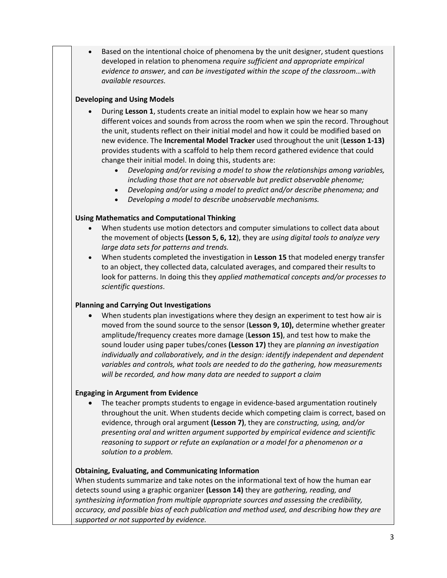Based on the intentional choice of phenomena by the unit designer, student questions developed in relation to phenomena *require sufficient and appropriate empirical evidence to answer,* and *can be investigated within the scope of the classroom…with available resources.*

# **Developing and Using Models**

- During **Lesson 1**, students create an initial model to explain how we hear so many different voices and sounds from across the room when we spin the record. Throughout the unit, students reflect on their initial model and how it could be modified based on new evidence. The **Incremental Model Tracker** used throughout the unit (**Lesson 1-13)** provides students with a scaffold to help them record gathered evidence that could change their initial model. In doing this, students are:
	- *Developing and/or revising a model to show the relationships among variables, including those that are not observable but predict observable phenome;*
	- *Developing and/or using a model to predict and/or describe phenomena; and*
	- *Developing a model to describe unobservable mechanisms.*

# **Using Mathematics and Computational Thinking**

- When students use motion detectors and computer simulations to collect data about the movement of objects **(Lesson 5, 6, 12**), they are *using digital tools to analyze very large data sets for patterns and trends.*
- When students completed the investigation in **Lesson 15** that modeled energy transfer to an object, they collected data, calculated averages, and compared their results to look for patterns. In doing this they *applied mathematical concepts and/or processes to scientific questions*.

## **Planning and Carrying Out Investigations**

• When students plan investigations where they design an experiment to test how air is moved from the sound source to the sensor (**Lesson 9, 10),** determine whether greater amplitude/frequency creates more damage (**Lesson 15)**, and test how to make the sound louder using paper tubes/cones **(Lesson 17)** they are *planning an investigation individually and collaboratively, and in the design: identify independent and dependent variables and controls, what tools are needed to do the gathering, how measurements will be recorded, and how many data are needed to support a claim*

## **Engaging in Argument from Evidence**

• The teacher prompts students to engage in evidence-based argumentation routinely throughout the unit. When students decide which competing claim is correct, based on evidence, through oral argument **(Lesson 7)**, they are *constructing, using, and/or presenting oral and written argument supported by empirical evidence and scientific reasoning to support or refute an explanation or a model for a phenomenon or a solution to a problem.*

## **Obtaining, Evaluating, and Communicating Information**

When students summarize and take notes on the informational text of how the human ear detects sound using a graphic organizer **(Lesson 14)** they are *gathering, reading, and synthesizing information from multiple appropriate sources and assessing the credibility, accuracy, and possible bias of each publication and method used, and describing how they are supported or not supported by evidence.*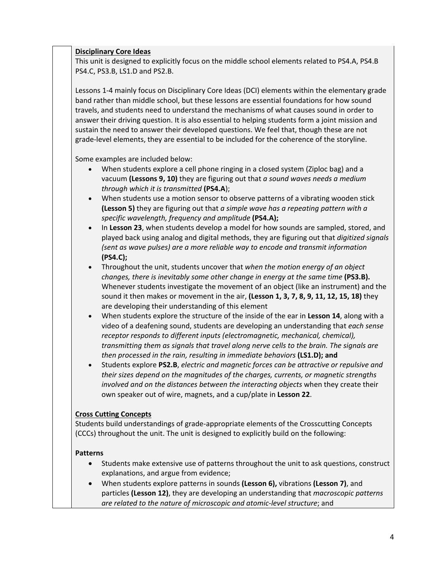## **Disciplinary Core Ideas**

This unit is designed to explicitly focus on the middle school elements related to PS4.A, PS4.B PS4.C, PS3.B, LS1.D and PS2.B.

Lessons 1-4 mainly focus on Disciplinary Core Ideas (DCI) elements within the elementary grade band rather than middle school, but these lessons are essential foundations for how sound travels, and students need to understand the mechanisms of what causes sound in order to answer their driving question. It is also essential to helping students form a joint mission and sustain the need to answer their developed questions. We feel that, though these are not grade-level elements, they are essential to be included for the coherence of the storyline.

Some examples are included below:

- When students explore a cell phone ringing in a closed system (Ziploc bag) and a vacuum **(Lessons 9, 10)** they are figuring out that *a sound waves needs a medium through which it is transmitted* **(PS4.A**);
- When students use a motion sensor to observe patterns of a vibrating wooden stick **(Lesson 5)** they are figuring out that *a simple wave has a repeating pattern with a specific wavelength, frequency and amplitude* **(PS4.A);**
- In **Lesson 23**, when students develop a model for how sounds are sampled, stored, and played back using analog and digital methods, they are figuring out that *digitized signals (sent as wave pulses) are a more reliable way to encode and transmit information* **(PS4.C);**
- Throughout the unit, students uncover that *when the motion energy of an object changes, there is inevitably some other change in energy at the same time* (PS3.B). Whenever students investigate the movement of an object (like an instrument) and the sound it then makes or movement in the air, **(Lesson 1, 3, 7, 8, 9, 11, 12, 15, 18)** they are developing their understanding of this element
- When students explore the structure of the inside of the ear in **Lesson 14**, along with a video of a deafening sound, students are developing an understanding that *each sense receptor responds to different inputs (electromagnetic, mechanical, chemical), transmitting them as signals that travel along nerve cells to the brain. The signals are then processed in the rain, resulting in immediate behaviors* **(LS1.D); and**
- Students explore **PS2.B**, *electric and magnetic forces can be attractive or repulsive and their sizes depend on the magnitudes of the charges, currents, or magnetic strengths involved and on the distances between the interacting objects* when they create their own speaker out of wire, magnets, and a cup/plate in **Lesson 22**.

## **Cross Cutting Concepts**

Students build understandings of grade-appropriate elements of the Crosscutting Concepts (CCCs) throughout the unit. The unit is designed to explicitly build on the following:

#### **Patterns**

- Students make extensive use of patterns throughout the unit to ask questions, construct explanations, and argue from evidence;
- When students explore patterns in sounds **(Lesson 6),** vibrations **(Lesson 7)**, and particles **(Lesson 12)**, they are developing an understanding that *macroscopic patterns are related to the nature of microscopic and atomic-level structure*; and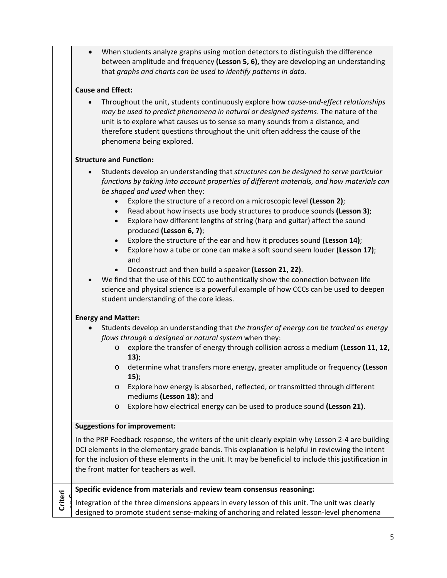| When students analyze graphs using motion detectors to distinguish the difference   |
|-------------------------------------------------------------------------------------|
| between amplitude and frequency (Lesson 5, 6), they are developing an understanding |
| that graphs and charts can be used to identify patterns in data.                    |

# **Cause and Effect:**

• Throughout the unit, students continuously explore how *cause-and-effect relationships may be used to predict phenomena in natural or designed systems*. The nature of the unit is to explore what causes us to sense so many sounds from a distance, and therefore student questions throughout the unit often address the cause of the phenomena being explored.

# **Structure and Function:**

- Students develop an understanding that *structures can be designed to serve particular functions by taking into account properties of different materials, and how materials can be shaped and used* when they:
	- Explore the structure of a record on a microscopic level **(Lesson 2)**;
	- Read about how insects use body structures to produce sounds **(Lesson 3)**;
	- Explore how different lengths of string (harp and guitar) affect the sound produced **(Lesson 6, 7)**;
	- Explore the structure of the ear and how it produces sound **(Lesson 14)**;
	- Explore how a tube or cone can make a soft sound seem louder **(Lesson 17)**; and
	- Deconstruct and then build a speaker **(Lesson 21, 22)**.
- We find that the use of this CCC to authentically show the connection between life science and physical science is a powerful example of how CCCs can be used to deepen student understanding of the core ideas.

# **Energy and Matter:**

- Students develop an understanding that *the transfer of energy can be tracked as energy flows through a designed or natural system* when they:
	- o explore the transfer of energy through collision across a medium **(Lesson 11, 12, 13)**;
	- o determine what transfers more energy, greater amplitude or frequency **(Lesson 15)**;
	- o Explore how energy is absorbed, reflected, or transmitted through different mediums **(Lesson 18)**; and
	- o Explore how electrical energy can be used to produce sound **(Lesson 21).**

# **Suggestions for improvement:**

In the PRP Feedback response, the writers of the unit clearly explain why Lesson 2-4 are building DCI elements in the elementary grade bands. This explanation is helpful in reviewing the intent for the inclusion of these elements in the unit. It may be beneficial to include this justification in the front matter for teachers as well.

|  | Specific evidence from materials and review team consensus reasoning:                                                                                                                      |
|--|--------------------------------------------------------------------------------------------------------------------------------------------------------------------------------------------|
|  | Integration of the three dimensions appears in every lesson of this unit. The unit was clearly<br>designed to promote student sense-making of anchoring and related lesson-level phenomena |
|  |                                                                                                                                                                                            |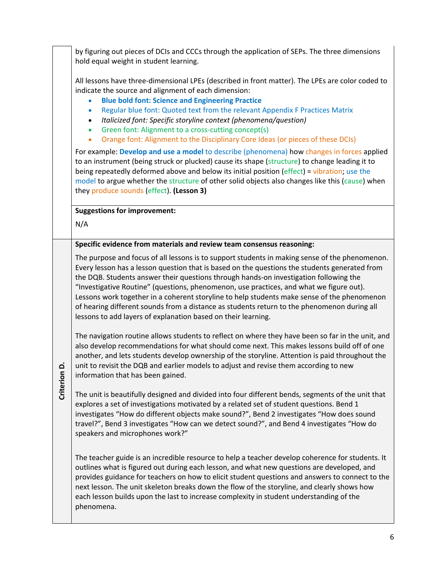by figuring out pieces of DCIs and CCCs through the application of SEPs. The three dimensions hold equal weight in student learning. All lessons have three-dimensional LPEs (described in front matter). The LPEs are color coded to indicate the source and alignment of each dimension: • **Blue bold font: Science and Engineering Practice** • Regular blue font: Quoted text from the relevant Appendix F Practices Matrix • *Italicized font: Specific storyline context (phenomena/question)* • Green font: Alignment to a cross-cutting concept(s) • Orange font: Alignment to the Disciplinary Core Ideas (or pieces of these DCIs) For example: **Develop and use a model** to describe (phenomena) how changes in forces applied to an instrument (being struck or plucked) cause its shape (structure) to change leading it to being repeatedly deformed above and below its initial position (effect) = vibration; use the model to argue whether the structure of other solid objects also changes like this (cause) when they produce sounds (effect). **(Lesson 3) Suggestions for improvement:** N/A **Criterion Criterion D. Specific evidence from materials and review team consensus reasoning:** The purpose and focus of all lessons is to support students in making sense of the phenomenon. Every lesson has a lesson question that is based on the questions the students generated from the DQB. Students answer their questions through hands-on investigation following the "Investigative Routine" (questions, phenomenon, use practices, and what we figure out). Lessons work together in a coherent storyline to help students make sense of the phenomenon of hearing different sounds from a distance as students return to the phenomenon during all lessons to add layers of explanation based on their learning. The navigation routine allows students to reflect on where they have been so far in the unit, and also develop recommendations for what should come next. This makes lessons build off of one another, and lets students develop ownership of the storyline. Attention is paid throughout the unit to revisit the DQB and earlier models to adjust and revise them according to new information that has been gained. The unit is beautifully designed and divided into four different bends, segments of the unit that explores a set of investigations motivated by a related set of student questions. Bend 1 investigates "How do different objects make sound?", Bend 2 investigates "How does sound travel?", Bend 3 investigates "How can we detect sound?", and Bend 4 investigates "How do speakers and microphones work?" The teacher guide is an incredible resource to help a teacher develop coherence for students. It outlines what is figured out during each lesson, and what new questions are developed, and provides guidance for teachers on how to elicit student questions and answers to connect to the next lesson. The unit skeleton breaks down the flow of the storyline, and clearly shows how each lesson builds upon the last to increase complexity in student understanding of the phenomena.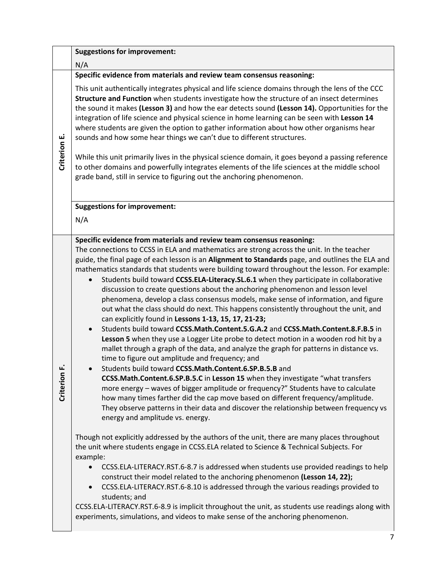|              |                                                                                                                                                                                                                                                                                                                                                                                                                                                                                                                                                                                                                                                                                                                                                                                                                                                        | <b>Suggestions for improvement:</b>                                                                                                                                                                                                                                                                                                                                                                                                                                                                                                                                                                                                                                                                                                                                                                                                                                                                                                                                                                                                                                                                                                                                                                                                                                                                                                                                                                                                                                                                                                                                                                                                                                                                                                                                                                                                                                                                                                                                                                                                                                                                                                                                                                                                                                       |
|--------------|--------------------------------------------------------------------------------------------------------------------------------------------------------------------------------------------------------------------------------------------------------------------------------------------------------------------------------------------------------------------------------------------------------------------------------------------------------------------------------------------------------------------------------------------------------------------------------------------------------------------------------------------------------------------------------------------------------------------------------------------------------------------------------------------------------------------------------------------------------|---------------------------------------------------------------------------------------------------------------------------------------------------------------------------------------------------------------------------------------------------------------------------------------------------------------------------------------------------------------------------------------------------------------------------------------------------------------------------------------------------------------------------------------------------------------------------------------------------------------------------------------------------------------------------------------------------------------------------------------------------------------------------------------------------------------------------------------------------------------------------------------------------------------------------------------------------------------------------------------------------------------------------------------------------------------------------------------------------------------------------------------------------------------------------------------------------------------------------------------------------------------------------------------------------------------------------------------------------------------------------------------------------------------------------------------------------------------------------------------------------------------------------------------------------------------------------------------------------------------------------------------------------------------------------------------------------------------------------------------------------------------------------------------------------------------------------------------------------------------------------------------------------------------------------------------------------------------------------------------------------------------------------------------------------------------------------------------------------------------------------------------------------------------------------------------------------------------------------------------------------------------------------|
|              |                                                                                                                                                                                                                                                                                                                                                                                                                                                                                                                                                                                                                                                                                                                                                                                                                                                        | N/A                                                                                                                                                                                                                                                                                                                                                                                                                                                                                                                                                                                                                                                                                                                                                                                                                                                                                                                                                                                                                                                                                                                                                                                                                                                                                                                                                                                                                                                                                                                                                                                                                                                                                                                                                                                                                                                                                                                                                                                                                                                                                                                                                                                                                                                                       |
|              |                                                                                                                                                                                                                                                                                                                                                                                                                                                                                                                                                                                                                                                                                                                                                                                                                                                        | Specific evidence from materials and review team consensus reasoning:                                                                                                                                                                                                                                                                                                                                                                                                                                                                                                                                                                                                                                                                                                                                                                                                                                                                                                                                                                                                                                                                                                                                                                                                                                                                                                                                                                                                                                                                                                                                                                                                                                                                                                                                                                                                                                                                                                                                                                                                                                                                                                                                                                                                     |
| Criterion E. | This unit authentically integrates physical and life science domains through the lens of the CCC<br>Structure and Function when students investigate how the structure of an insect determines<br>the sound it makes (Lesson 3) and how the ear detects sound (Lesson 14). Opportunities for the<br>integration of life science and physical science in home learning can be seen with Lesson 14<br>where students are given the option to gather information about how other organisms hear<br>sounds and how some hear things we can't due to different structures.<br>While this unit primarily lives in the physical science domain, it goes beyond a passing reference<br>to other domains and powerfully integrates elements of the life sciences at the middle school<br>grade band, still in service to figuring out the anchoring phenomenon. |                                                                                                                                                                                                                                                                                                                                                                                                                                                                                                                                                                                                                                                                                                                                                                                                                                                                                                                                                                                                                                                                                                                                                                                                                                                                                                                                                                                                                                                                                                                                                                                                                                                                                                                                                                                                                                                                                                                                                                                                                                                                                                                                                                                                                                                                           |
|              |                                                                                                                                                                                                                                                                                                                                                                                                                                                                                                                                                                                                                                                                                                                                                                                                                                                        | <b>Suggestions for improvement:</b><br>N/A                                                                                                                                                                                                                                                                                                                                                                                                                                                                                                                                                                                                                                                                                                                                                                                                                                                                                                                                                                                                                                                                                                                                                                                                                                                                                                                                                                                                                                                                                                                                                                                                                                                                                                                                                                                                                                                                                                                                                                                                                                                                                                                                                                                                                                |
|              | ட்<br>Criterior                                                                                                                                                                                                                                                                                                                                                                                                                                                                                                                                                                                                                                                                                                                                                                                                                                        | Specific evidence from materials and review team consensus reasoning:<br>The connections to CCSS in ELA and mathematics are strong across the unit. In the teacher<br>guide, the final page of each lesson is an Alignment to Standards page, and outlines the ELA and<br>mathematics standards that students were building toward throughout the lesson. For example:<br>Students build toward CCSS.ELA-Literacy.SL.6.1 when they participate in collaborative<br>discussion to create questions about the anchoring phenomenon and lesson level<br>phenomena, develop a class consensus models, make sense of information, and figure<br>out what the class should do next. This happens consistently throughout the unit, and<br>can explicitly found in Lessons 1-13, 15, 17, 21-23;<br>Students build toward CCSS.Math.Content.5.G.A.2 and CCSS.Math.Content.8.F.B.5 in<br>$\bullet$<br>Lesson 5 when they use a Logger Lite probe to detect motion in a wooden rod hit by a<br>mallet through a graph of the data, and analyze the graph for patterns in distance vs.<br>time to figure out amplitude and frequency; and<br>Students build toward CCSS.Math.Content.6.SP.B.5.B and<br>CCSS.Math.Content.6.SP.B.5.C in Lesson 15 when they investigate "what transfers<br>more energy - waves of bigger amplitude or frequency?" Students have to calculate<br>how many times farther did the cap move based on different frequency/amplitude.<br>They observe patterns in their data and discover the relationship between frequency vs<br>energy and amplitude vs. energy.<br>Though not explicitly addressed by the authors of the unit, there are many places throughout<br>the unit where students engage in CCSS.ELA related to Science & Technical Subjects. For<br>example:<br>CCSS.ELA-LITERACY.RST.6-8.7 is addressed when students use provided readings to help<br>construct their model related to the anchoring phenomenon (Lesson 14, 22);<br>CCSS.ELA-LITERACY.RST.6-8.10 is addressed through the various readings provided to<br>$\bullet$<br>students; and<br>CCSS.ELA-LITERACY.RST.6-8.9 is implicit throughout the unit, as students use readings along with<br>experiments, simulations, and videos to make sense of the anchoring phenomenon. |
|              |                                                                                                                                                                                                                                                                                                                                                                                                                                                                                                                                                                                                                                                                                                                                                                                                                                                        |                                                                                                                                                                                                                                                                                                                                                                                                                                                                                                                                                                                                                                                                                                                                                                                                                                                                                                                                                                                                                                                                                                                                                                                                                                                                                                                                                                                                                                                                                                                                                                                                                                                                                                                                                                                                                                                                                                                                                                                                                                                                                                                                                                                                                                                                           |
|              |                                                                                                                                                                                                                                                                                                                                                                                                                                                                                                                                                                                                                                                                                                                                                                                                                                                        |                                                                                                                                                                                                                                                                                                                                                                                                                                                                                                                                                                                                                                                                                                                                                                                                                                                                                                                                                                                                                                                                                                                                                                                                                                                                                                                                                                                                                                                                                                                                                                                                                                                                                                                                                                                                                                                                                                                                                                                                                                                                                                                                                                                                                                                                           |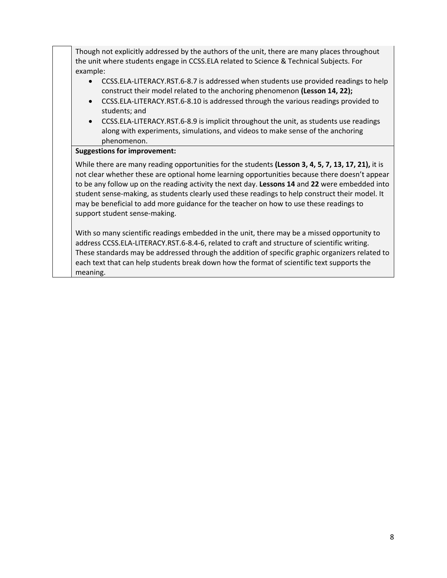Though not explicitly addressed by the authors of the unit, there are many places throughout the unit where students engage in CCSS.ELA related to Science & Technical Subjects. For example:

- CCSS.ELA-LITERACY.RST.6-8.7 is addressed when students use provided readings to help construct their model related to the anchoring phenomenon **(Lesson 14, 22);**
- CCSS.ELA-LITERACY.RST.6-8.10 is addressed through the various readings provided to students; and
- CCSS.ELA-LITERACY.RST.6-8.9 is implicit throughout the unit, as students use readings along with experiments, simulations, and videos to make sense of the anchoring phenomenon.

# **Suggestions for improvement:**

While there are many reading opportunities for the students **(Lesson 3, 4, 5, 7, 13, 17, 21),** it is not clear whether these are optional home learning opportunities because there doesn't appear to be any follow up on the reading activity the next day. **Lessons 14** and **22** were embedded into student sense-making, as students clearly used these readings to help construct their model. It may be beneficial to add more guidance for the teacher on how to use these readings to support student sense-making.

With so many scientific readings embedded in the unit, there may be a missed opportunity to address CCSS.ELA-LITERACY.RST.6-8.4-6, related to craft and structure of scientific writing. These standards may be addressed through the addition of specific graphic organizers related to each text that can help students break down how the format of scientific text supports the meaning.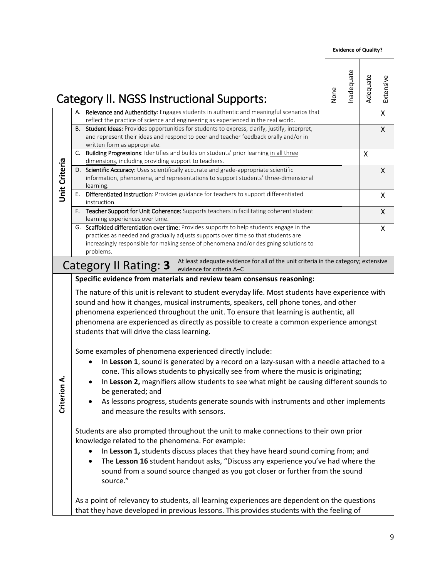|               |                                                                                                                                                                                                                                                                                                                                                                                                                                                                                          |      |           | <b>Evidence of Quality?</b> |                           |
|---------------|------------------------------------------------------------------------------------------------------------------------------------------------------------------------------------------------------------------------------------------------------------------------------------------------------------------------------------------------------------------------------------------------------------------------------------------------------------------------------------------|------|-----------|-----------------------------|---------------------------|
|               | Category II. NGSS Instructional Supports:                                                                                                                                                                                                                                                                                                                                                                                                                                                | None | nadequate | Adequate                    | Extensive                 |
|               | Relevance and Authenticity: Engages students in authentic and meaningful scenarios that<br>А.                                                                                                                                                                                                                                                                                                                                                                                            |      |           |                             | $\pmb{\mathsf{X}}$        |
|               | reflect the practice of science and engineering as experienced in the real world.<br>Student Ideas: Provides opportunities for students to express, clarify, justify, interpret,<br>В.<br>and represent their ideas and respond to peer and teacher feedback orally and/or in<br>written form as appropriate.                                                                                                                                                                            |      |           |                             | $\boldsymbol{\mathsf{X}}$ |
|               | C. Building Progressions: Identifies and builds on students' prior learning in all three                                                                                                                                                                                                                                                                                                                                                                                                 |      |           | $\boldsymbol{\mathsf{X}}$   |                           |
|               | dimensions, including providing support to teachers.<br>Scientific Accuracy: Uses scientifically accurate and grade-appropriate scientific<br>D.                                                                                                                                                                                                                                                                                                                                         |      |           |                             | X                         |
| Unit Criteria | information, phenomena, and representations to support students' three-dimensional<br>learning.                                                                                                                                                                                                                                                                                                                                                                                          |      |           |                             |                           |
|               | Differentiated Instruction: Provides guidance for teachers to support differentiated<br>Е.<br>instruction.                                                                                                                                                                                                                                                                                                                                                                               |      |           |                             | X                         |
|               | F. Teacher Support for Unit Coherence: Supports teachers in facilitating coherent student<br>learning experiences over time.                                                                                                                                                                                                                                                                                                                                                             |      |           |                             | X                         |
|               | G. Scaffolded differentiation over time: Provides supports to help students engage in the<br>practices as needed and gradually adjusts supports over time so that students are<br>increasingly responsible for making sense of phenomena and/or designing solutions to                                                                                                                                                                                                                   |      |           |                             | X                         |
|               | problems.                                                                                                                                                                                                                                                                                                                                                                                                                                                                                |      |           |                             |                           |
|               | At least adequate evidence for all of the unit criteria in the category; extensive<br>Category II Rating: 3<br>evidence for criteria A-C                                                                                                                                                                                                                                                                                                                                                 |      |           |                             |                           |
|               | The nature of this unit is relevant to student everyday life. Most students have experience with<br>sound and how it changes, musical instruments, speakers, cell phone tones, and other<br>phenomena experienced throughout the unit. To ensure that learning is authentic, all<br>phenomena are experienced as directly as possible to create a common experience amongst<br>students that will drive the class learning.                                                              |      |           |                             |                           |
| Criterion A.  | Some examples of phenomena experienced directly include:<br>In Lesson 1, sound is generated by a record on a lazy-susan with a needle attached to a<br>cone. This allows students to physically see from where the music is originating;<br>In Lesson 2, magnifiers allow students to see what might be causing different sounds to<br>be generated; and<br>As lessons progress, students generate sounds with instruments and other implements<br>and measure the results with sensors. |      |           |                             |                           |
|               | Students are also prompted throughout the unit to make connections to their own prior<br>knowledge related to the phenomena. For example:<br>In Lesson 1, students discuss places that they have heard sound coming from; and<br>The Lesson 16 student handout asks, "Discuss any experience you've had where the<br>٠<br>sound from a sound source changed as you got closer or further from the sound<br>source."                                                                      |      |           |                             |                           |
|               | As a point of relevancy to students, all learning experiences are dependent on the questions<br>that they have developed in previous lessons. This provides students with the feeling of                                                                                                                                                                                                                                                                                                 |      |           |                             |                           |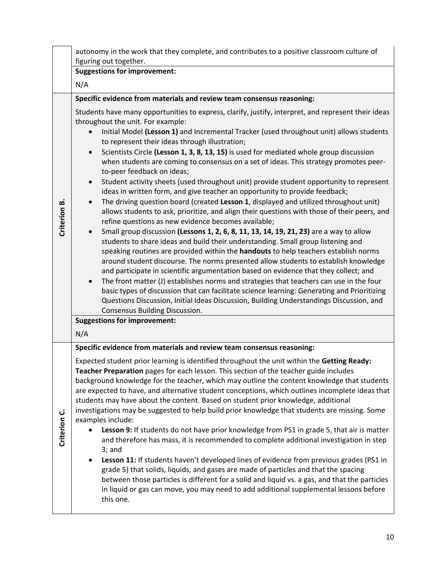|              | autonomy in the work that they complete, and contributes to a positive classroom culture of<br>figuring out together.                                                                                                                                                                                                                                                                                                                                                                                                                                                                                                                                                                                                                                                                                                                                                                                                                                                                                                                                                                                                                                                                                                                                                                                                                                                                                                                                                                                                                                                                                                                                                                                                                                                                                                      |  |
|--------------|----------------------------------------------------------------------------------------------------------------------------------------------------------------------------------------------------------------------------------------------------------------------------------------------------------------------------------------------------------------------------------------------------------------------------------------------------------------------------------------------------------------------------------------------------------------------------------------------------------------------------------------------------------------------------------------------------------------------------------------------------------------------------------------------------------------------------------------------------------------------------------------------------------------------------------------------------------------------------------------------------------------------------------------------------------------------------------------------------------------------------------------------------------------------------------------------------------------------------------------------------------------------------------------------------------------------------------------------------------------------------------------------------------------------------------------------------------------------------------------------------------------------------------------------------------------------------------------------------------------------------------------------------------------------------------------------------------------------------------------------------------------------------------------------------------------------------|--|
|              | <b>Suggestions for improvement:</b>                                                                                                                                                                                                                                                                                                                                                                                                                                                                                                                                                                                                                                                                                                                                                                                                                                                                                                                                                                                                                                                                                                                                                                                                                                                                                                                                                                                                                                                                                                                                                                                                                                                                                                                                                                                        |  |
|              | N/A                                                                                                                                                                                                                                                                                                                                                                                                                                                                                                                                                                                                                                                                                                                                                                                                                                                                                                                                                                                                                                                                                                                                                                                                                                                                                                                                                                                                                                                                                                                                                                                                                                                                                                                                                                                                                        |  |
|              | Specific evidence from materials and review team consensus reasoning:                                                                                                                                                                                                                                                                                                                                                                                                                                                                                                                                                                                                                                                                                                                                                                                                                                                                                                                                                                                                                                                                                                                                                                                                                                                                                                                                                                                                                                                                                                                                                                                                                                                                                                                                                      |  |
| Criterion B. | Students have many opportunities to express, clarify, justify, interpret, and represent their ideas<br>throughout the unit. For example:<br>Initial Model (Lesson 1) and Incremental Tracker (used throughout unit) allows students<br>to represent their ideas through illustration;<br>Scientists Circle (Lesson 1, 3, 8, 13, 15) is used for mediated whole group discussion<br>$\bullet$<br>when students are coming to consensus on a set of ideas. This strategy promotes peer-<br>to-peer feedback on ideas;<br>Student activity sheets (used throughout unit) provide student opportunity to represent<br>$\bullet$<br>ideas in written form, and give teacher an opportunity to provide feedback;<br>The driving question board (created Lesson 1, displayed and utilized throughout unit)<br>$\bullet$<br>allows students to ask, prioritize, and align their questions with those of their peers, and<br>refine questions as new evidence becomes available;<br>Small group discussion (Lessons 1, 2, 6, 8, 11, 13, 14, 19, 21, 23) are a way to allow<br>$\bullet$<br>students to share ideas and build their understanding. Small group listening and<br>speaking routines are provided within the handouts to help teachers establish norms<br>around student discourse. The norms presented allow students to establish knowledge<br>and participate in scientific argumentation based on evidence that they collect; and<br>The front matter (J) establishes norms and strategies that teachers can use in the four<br>$\bullet$<br>basic types of discussion that can facilitate science learning: Generating and Prioritizing<br>Questions Discussion, Initial Ideas Discussion, Building Understandings Discussion, and<br>Consensus Building Discussion.<br><b>Suggestions for improvement:</b><br>N/A |  |
|              | Specific evidence from materials and review team consensus reasoning:                                                                                                                                                                                                                                                                                                                                                                                                                                                                                                                                                                                                                                                                                                                                                                                                                                                                                                                                                                                                                                                                                                                                                                                                                                                                                                                                                                                                                                                                                                                                                                                                                                                                                                                                                      |  |
| Criterion C. | Expected student prior learning is identified throughout the unit within the Getting Ready:<br>Teacher Preparation pages for each lesson. This section of the teacher guide includes<br>background knowledge for the teacher, which may outline the content knowledge that students<br>are expected to have, and alternative student conceptions, which outlines incomplete ideas that<br>students may have about the content. Based on student prior knowledge, additional<br>investigations may be suggested to help build prior knowledge that students are missing. Some<br>examples include:<br>Lesson 9: If students do not have prior knowledge from PS1 in grade 5, that air is matter<br>and therefore has mass, it is recommended to complete additional investigation in step<br>$3;$ and<br>Lesson 11: If students haven't developed lines of evidence from previous grades (PS1 in<br>grade 5) that solids, liquids, and gases are made of particles and that the spacing<br>between those particles is different for a solid and liquid vs. a gas, and that the particles<br>in liquid or gas can move, you may need to add additional supplemental lessons before<br>this one.                                                                                                                                                                                                                                                                                                                                                                                                                                                                                                                                                                                                                              |  |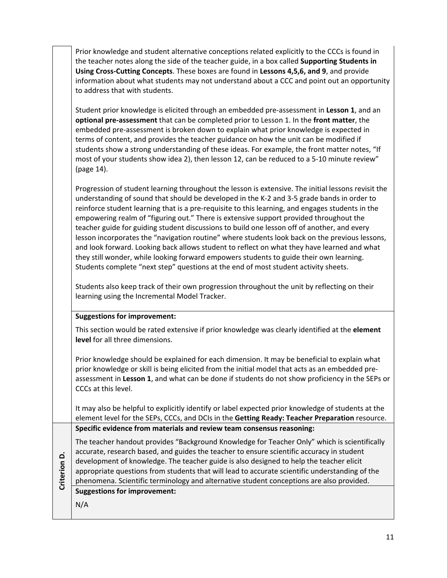Prior knowledge and student alternative conceptions related explicitly to the CCCs is found in the teacher notes along the side of the teacher guide, in a box called **Supporting Students in Using Cross-Cutting Concepts**. These boxes are found in **Lessons 4,5,6, and 9**, and provide information about what students may not understand about a CCC and point out an opportunity to address that with students.

Student prior knowledge is elicited through an embedded pre-assessment in **Lesson 1**, and an **optional pre-assessment** that can be completed prior to Lesson 1. In the **front matter**, the embedded pre-assessment is broken down to explain what prior knowledge is expected in terms of content, and provides the teacher guidance on how the unit can be modified if students show a strong understanding of these ideas. For example, the front matter notes, "If most of your students show idea 2), then lesson 12, can be reduced to a 5-10 minute review" (page 14).

Progression of student learning throughout the lesson is extensive. The initial lessons revisit the understanding of sound that should be developed in the K-2 and 3-5 grade bands in order to reinforce student learning that is a pre-requisite to this learning, and engages students in the empowering realm of "figuring out." There is extensive support provided throughout the teacher guide for guiding student discussions to build one lesson off of another, and every lesson incorporates the "navigation routine" where students look back on the previous lessons, and look forward. Looking back allows student to reflect on what they have learned and what they still wonder, while looking forward empowers students to guide their own learning. Students complete "next step" questions at the end of most student activity sheets.

Students also keep track of their own progression throughout the unit by reflecting on their learning using the Incremental Model Tracker.

## **Suggestions for improvement:**

**Criterion**  Criterion D. This section would be rated extensive if prior knowledge was clearly identified at the **element level** for all three dimensions.

Prior knowledge should be explained for each dimension. It may be beneficial to explain what prior knowledge or skill is being elicited from the initial model that acts as an embedded preassessment in **Lesson 1**, and what can be done if students do not show proficiency in the SEPs or CCCs at this level.

It may also be helpful to explicitly identify or label expected prior knowledge of students at the element level for the SEPs, CCCs, and DCIs in the **Getting Ready: Teacher Preparation** resource. **Specific evidence from materials and review team consensus reasoning:**

The teacher handout provides "Background Knowledge for Teacher Only" which is scientifically accurate, research based, and guides the teacher to ensure scientific accuracy in student development of knowledge. The teacher guide is also designed to help the teacher elicit appropriate questions from students that will lead to accurate scientific understanding of the phenomena. Scientific terminology and alternative student conceptions are also provided. **Suggestions for improvement:** N/A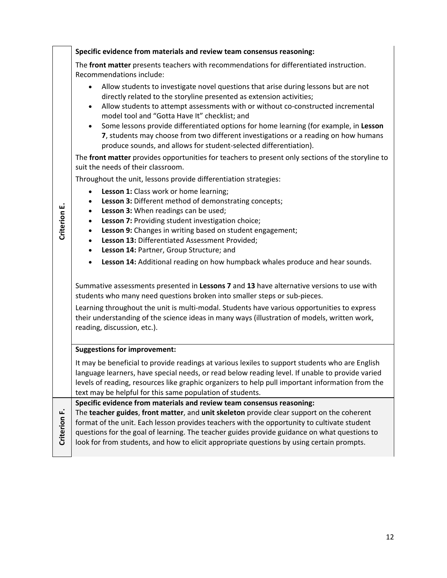|              | Specific evidence from materials and review team consensus reasoning:                                                                                                                                                                                                                                                                                                                                                                                                                                                                                                                        |
|--------------|----------------------------------------------------------------------------------------------------------------------------------------------------------------------------------------------------------------------------------------------------------------------------------------------------------------------------------------------------------------------------------------------------------------------------------------------------------------------------------------------------------------------------------------------------------------------------------------------|
|              | The front matter presents teachers with recommendations for differentiated instruction.<br>Recommendations include:                                                                                                                                                                                                                                                                                                                                                                                                                                                                          |
|              | Allow students to investigate novel questions that arise during lessons but are not<br>$\bullet$<br>directly related to the storyline presented as extension activities;<br>Allow students to attempt assessments with or without co-constructed incremental<br>$\bullet$<br>model tool and "Gotta Have It" checklist; and<br>Some lessons provide differentiated options for home learning (for example, in Lesson<br>$\bullet$<br>7, students may choose from two different investigations or a reading on how humans<br>produce sounds, and allows for student-selected differentiation). |
|              | The front matter provides opportunities for teachers to present only sections of the storyline to<br>suit the needs of their classroom.                                                                                                                                                                                                                                                                                                                                                                                                                                                      |
|              | Throughout the unit, lessons provide differentiation strategies:                                                                                                                                                                                                                                                                                                                                                                                                                                                                                                                             |
| Criterion E. | Lesson 1: Class work or home learning;<br>$\bullet$<br>Lesson 3: Different method of demonstrating concepts;<br>$\bullet$<br>Lesson 3: When readings can be used;<br>$\bullet$<br>Lesson 7: Providing student investigation choice;<br>$\bullet$<br>Lesson 9: Changes in writing based on student engagement;<br>$\bullet$<br>Lesson 13: Differentiated Assessment Provided;<br>$\bullet$<br>Lesson 14: Partner, Group Structure; and<br>$\bullet$                                                                                                                                           |
|              | Lesson 14: Additional reading on how humpback whales produce and hear sounds.<br>$\bullet$                                                                                                                                                                                                                                                                                                                                                                                                                                                                                                   |
|              | Summative assessments presented in Lessons 7 and 13 have alternative versions to use with<br>students who many need questions broken into smaller steps or sub-pieces.                                                                                                                                                                                                                                                                                                                                                                                                                       |
|              | Learning throughout the unit is multi-modal. Students have various opportunities to express<br>their understanding of the science ideas in many ways (illustration of models, written work,<br>reading, discussion, etc.).                                                                                                                                                                                                                                                                                                                                                                   |
|              | <b>Suggestions for improvement:</b>                                                                                                                                                                                                                                                                                                                                                                                                                                                                                                                                                          |
|              | It may be beneficial to provide readings at various lexiles to support students who are English<br>language learners, have special needs, or read below reading level. If unable to provide varied<br>levels of reading, resources like graphic organizers to help pull important information from the<br>text may be helpful for this same population of students.                                                                                                                                                                                                                          |
| Criterion F. | Specific evidence from materials and review team consensus reasoning:<br>The teacher guides, front matter, and unit skeleton provide clear support on the coherent<br>format of the unit. Each lesson provides teachers with the opportunity to cultivate student<br>questions for the goal of learning. The teacher guides provide guidance on what questions to<br>look for from students, and how to elicit appropriate questions by using certain prompts.                                                                                                                               |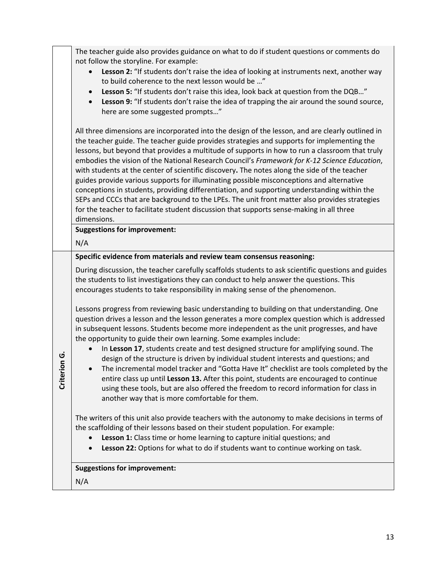|                    | The teacher guide also provides guidance on what to do if student questions or comments do                                                                                                                                                                                                                                                                                                                                                                                                                                                                                                                                                                                                                                                                                                                                                                                                              |
|--------------------|---------------------------------------------------------------------------------------------------------------------------------------------------------------------------------------------------------------------------------------------------------------------------------------------------------------------------------------------------------------------------------------------------------------------------------------------------------------------------------------------------------------------------------------------------------------------------------------------------------------------------------------------------------------------------------------------------------------------------------------------------------------------------------------------------------------------------------------------------------------------------------------------------------|
|                    | not follow the storyline. For example:<br>Lesson 2: "If students don't raise the idea of looking at instruments next, another way<br>to build coherence to the next lesson would be "<br>Lesson 5: "If students don't raise this idea, look back at question from the DQB"<br>$\bullet$<br>Lesson 9: "If students don't raise the idea of trapping the air around the sound source,<br>$\bullet$<br>here are some suggested prompts"                                                                                                                                                                                                                                                                                                                                                                                                                                                                    |
|                    | All three dimensions are incorporated into the design of the lesson, and are clearly outlined in<br>the teacher guide. The teacher guide provides strategies and supports for implementing the<br>lessons, but beyond that provides a multitude of supports in how to run a classroom that truly<br>embodies the vision of the National Research Council's Framework for K-12 Science Education,<br>with students at the center of scientific discovery. The notes along the side of the teacher<br>guides provide various supports for illuminating possible misconceptions and alternative<br>conceptions in students, providing differentiation, and supporting understanding within the<br>SEPs and CCCs that are background to the LPEs. The unit front matter also provides strategies<br>for the teacher to facilitate student discussion that supports sense-making in all three<br>dimensions. |
|                    | <b>Suggestions for improvement:</b>                                                                                                                                                                                                                                                                                                                                                                                                                                                                                                                                                                                                                                                                                                                                                                                                                                                                     |
|                    | N/A                                                                                                                                                                                                                                                                                                                                                                                                                                                                                                                                                                                                                                                                                                                                                                                                                                                                                                     |
|                    | Specific evidence from materials and review team consensus reasoning:                                                                                                                                                                                                                                                                                                                                                                                                                                                                                                                                                                                                                                                                                                                                                                                                                                   |
|                    | During discussion, the teacher carefully scaffolds students to ask scientific questions and guides<br>the students to list investigations they can conduct to help answer the questions. This<br>encourages students to take responsibility in making sense of the phenomenon.                                                                                                                                                                                                                                                                                                                                                                                                                                                                                                                                                                                                                          |
|                    | Lessons progress from reviewing basic understanding to building on that understanding. One<br>question drives a lesson and the lesson generates a more complex question which is addressed                                                                                                                                                                                                                                                                                                                                                                                                                                                                                                                                                                                                                                                                                                              |
| U,<br>δ<br>Criteri | in subsequent lessons. Students become more independent as the unit progresses, and have<br>the opportunity to guide their own learning. Some examples include:<br>In Lesson 17, students create and test designed structure for amplifying sound. The<br>design of the structure is driven by individual student interests and questions; and<br>The incremental model tracker and "Gotta Have It" checklist are tools completed by the<br>entire class up until Lesson 13. After this point, students are encouraged to continue<br>using these tools, but are also offered the freedom to record information for class in<br>another way that is more comfortable for them.                                                                                                                                                                                                                          |
|                    | The writers of this unit also provide teachers with the autonomy to make decisions in terms of<br>the scaffolding of their lessons based on their student population. For example:<br>Lesson 1: Class time or home learning to capture initial questions; and<br>Lesson 22: Options for what to do if students want to continue working on task.<br>$\bullet$                                                                                                                                                                                                                                                                                                                                                                                                                                                                                                                                           |
|                    | <b>Suggestions for improvement:</b>                                                                                                                                                                                                                                                                                                                                                                                                                                                                                                                                                                                                                                                                                                                                                                                                                                                                     |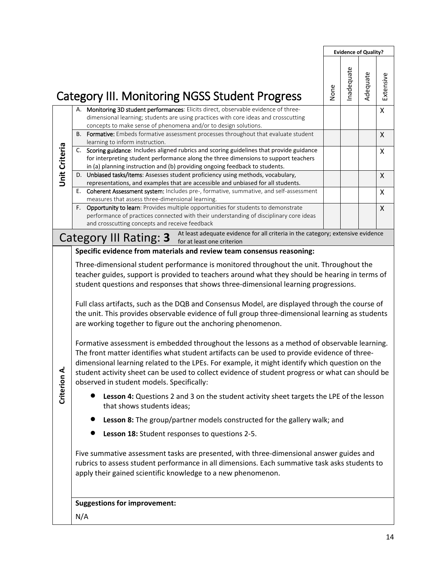|               |                                                                                                                                                                                                                                                                                                                                                                                                                                                                                                                                                                                                                                                                                                                                                                                                                                                                                                                                                                                                         |      | <b>Evidence of Quality?</b> |          |           |  |  |
|---------------|---------------------------------------------------------------------------------------------------------------------------------------------------------------------------------------------------------------------------------------------------------------------------------------------------------------------------------------------------------------------------------------------------------------------------------------------------------------------------------------------------------------------------------------------------------------------------------------------------------------------------------------------------------------------------------------------------------------------------------------------------------------------------------------------------------------------------------------------------------------------------------------------------------------------------------------------------------------------------------------------------------|------|-----------------------------|----------|-----------|--|--|
|               | <b>Category III. Monitoring NGSS Student Progress</b>                                                                                                                                                                                                                                                                                                                                                                                                                                                                                                                                                                                                                                                                                                                                                                                                                                                                                                                                                   | None | nadequate                   | Adequate | Extensive |  |  |
|               | A. Monitoring 3D student performances: Elicits direct, observable evidence of three-<br>dimensional learning; students are using practices with core ideas and crosscutting<br>concepts to make sense of phenomena and/or to design solutions.                                                                                                                                                                                                                                                                                                                                                                                                                                                                                                                                                                                                                                                                                                                                                          |      |                             |          | X         |  |  |
|               | B. Formative: Embeds formative assessment processes throughout that evaluate student                                                                                                                                                                                                                                                                                                                                                                                                                                                                                                                                                                                                                                                                                                                                                                                                                                                                                                                    |      |                             |          | X         |  |  |
| Unit Criteria | learning to inform instruction.<br>C. Scoring guidance: Includes aligned rubrics and scoring guidelines that provide guidance<br>for interpreting student performance along the three dimensions to support teachers<br>in (a) planning instruction and (b) providing ongoing feedback to students.                                                                                                                                                                                                                                                                                                                                                                                                                                                                                                                                                                                                                                                                                                     |      |                             |          | X         |  |  |
|               | D. Unbiased tasks/items: Assesses student proficiency using methods, vocabulary,                                                                                                                                                                                                                                                                                                                                                                                                                                                                                                                                                                                                                                                                                                                                                                                                                                                                                                                        |      |                             |          | X         |  |  |
|               | representations, and examples that are accessible and unbiased for all students.<br>Е.<br>Coherent Assessment system: Includes pre-, formative, summative, and self-assessment<br>measures that assess three-dimensional learning.                                                                                                                                                                                                                                                                                                                                                                                                                                                                                                                                                                                                                                                                                                                                                                      |      |                             |          | X         |  |  |
|               | F. Opportunity to learn: Provides multiple opportunities for students to demonstrate<br>performance of practices connected with their understanding of disciplinary core ideas<br>and crosscutting concepts and receive feedback                                                                                                                                                                                                                                                                                                                                                                                                                                                                                                                                                                                                                                                                                                                                                                        |      |                             |          | X         |  |  |
|               | At least adequate evidence for all criteria in the category; extensive evidence<br>Category III Rating: 3 At least avequate evident                                                                                                                                                                                                                                                                                                                                                                                                                                                                                                                                                                                                                                                                                                                                                                                                                                                                     |      |                             |          |           |  |  |
|               | Specific evidence from materials and review team consensus reasoning:                                                                                                                                                                                                                                                                                                                                                                                                                                                                                                                                                                                                                                                                                                                                                                                                                                                                                                                                   |      |                             |          |           |  |  |
| ∢             | Three-dimensional student performance is monitored throughout the unit. Throughout the<br>teacher guides, support is provided to teachers around what they should be hearing in terms of<br>student questions and responses that shows three-dimensional learning progressions.<br>Full class artifacts, such as the DQB and Consensus Model, are displayed through the course of<br>the unit. This provides observable evidence of full group three-dimensional learning as students<br>are working together to figure out the anchoring phenomenon.<br>Formative assessment is embedded throughout the lessons as a method of observable learning.<br>The front matter identifies what student artifacts can be used to provide evidence of three-<br>dimensional learning related to the LPEs. For example, it might identify which question on the<br>student activity sheet can be used to collect evidence of student progress or what can should be<br>observed in student models. Specifically: |      |                             |          |           |  |  |
| Criterion     | Lesson 4: Questions 2 and 3 on the student activity sheet targets the LPE of the lesson<br>that shows students ideas;                                                                                                                                                                                                                                                                                                                                                                                                                                                                                                                                                                                                                                                                                                                                                                                                                                                                                   |      |                             |          |           |  |  |
|               | Lesson 8: The group/partner models constructed for the gallery walk; and                                                                                                                                                                                                                                                                                                                                                                                                                                                                                                                                                                                                                                                                                                                                                                                                                                                                                                                                |      |                             |          |           |  |  |
|               | Lesson 18: Student responses to questions 2-5.                                                                                                                                                                                                                                                                                                                                                                                                                                                                                                                                                                                                                                                                                                                                                                                                                                                                                                                                                          |      |                             |          |           |  |  |
|               | Five summative assessment tasks are presented, with three-dimensional answer guides and<br>rubrics to assess student performance in all dimensions. Each summative task asks students to<br>apply their gained scientific knowledge to a new phenomenon.                                                                                                                                                                                                                                                                                                                                                                                                                                                                                                                                                                                                                                                                                                                                                |      |                             |          |           |  |  |
|               | <b>Suggestions for improvement:</b><br>N/A                                                                                                                                                                                                                                                                                                                                                                                                                                                                                                                                                                                                                                                                                                                                                                                                                                                                                                                                                              |      |                             |          |           |  |  |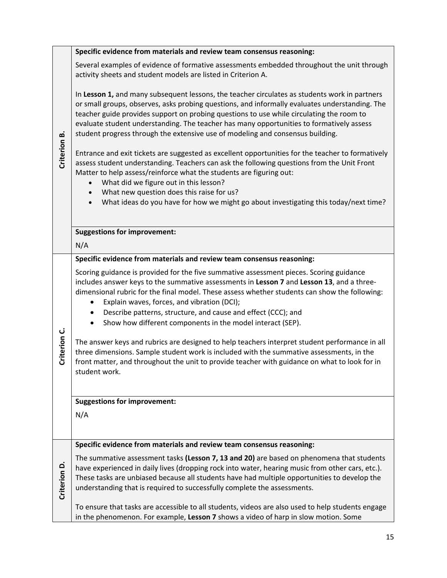|              | Specific evidence from materials and review team consensus reasoning:                                                                                                                                                                                                                                                                                                                                                                                                     |
|--------------|---------------------------------------------------------------------------------------------------------------------------------------------------------------------------------------------------------------------------------------------------------------------------------------------------------------------------------------------------------------------------------------------------------------------------------------------------------------------------|
|              | Several examples of evidence of formative assessments embedded throughout the unit through<br>activity sheets and student models are listed in Criterion A.                                                                                                                                                                                                                                                                                                               |
| Criterion B. | In Lesson 1, and many subsequent lessons, the teacher circulates as students work in partners<br>or small groups, observes, asks probing questions, and informally evaluates understanding. The<br>teacher guide provides support on probing questions to use while circulating the room to<br>evaluate student understanding. The teacher has many opportunities to formatively assess<br>student progress through the extensive use of modeling and consensus building. |
|              | Entrance and exit tickets are suggested as excellent opportunities for the teacher to formatively<br>assess student understanding. Teachers can ask the following questions from the Unit Front<br>Matter to help assess/reinforce what the students are figuring out:<br>What did we figure out in this lesson?<br>$\bullet$<br>What new question does this raise for us?<br>$\bullet$                                                                                   |
|              | What ideas do you have for how we might go about investigating this today/next time?<br>$\bullet$                                                                                                                                                                                                                                                                                                                                                                         |
|              | <b>Suggestions for improvement:</b>                                                                                                                                                                                                                                                                                                                                                                                                                                       |
|              | N/A                                                                                                                                                                                                                                                                                                                                                                                                                                                                       |
|              | Specific evidence from materials and review team consensus reasoning:                                                                                                                                                                                                                                                                                                                                                                                                     |
|              | Scoring guidance is provided for the five summative assessment pieces. Scoring guidance<br>includes answer keys to the summative assessments in Lesson 7 and Lesson 13, and a three-<br>dimensional rubric for the final model. These assess whether students can show the following:<br>Explain waves, forces, and vibration (DCI);<br>Describe patterns, structure, and cause and effect (CCC); and<br>Show how different components in the model interact (SEP).       |
| Criterion C. | The answer keys and rubrics are designed to help teachers interpret student performance in all<br>three dimensions. Sample student work is included with the summative assessments, in the<br>front matter, and throughout the unit to provide teacher with guidance on what to look for in<br>student work.                                                                                                                                                              |
|              | <b>Suggestions for improvement:</b>                                                                                                                                                                                                                                                                                                                                                                                                                                       |
|              | N/A                                                                                                                                                                                                                                                                                                                                                                                                                                                                       |
|              | Specific evidence from materials and review team consensus reasoning:                                                                                                                                                                                                                                                                                                                                                                                                     |
| Criterion D. | The summative assessment tasks (Lesson 7, 13 and 20) are based on phenomena that students<br>have experienced in daily lives (dropping rock into water, hearing music from other cars, etc.).<br>These tasks are unbiased because all students have had multiple opportunities to develop the<br>understanding that is required to successfully complete the assessments.                                                                                                 |
|              | To ensure that tasks are accessible to all students, videos are also used to help students engage<br>in the phenomenon. For example, Lesson 7 shows a video of harp in slow motion. Some                                                                                                                                                                                                                                                                                  |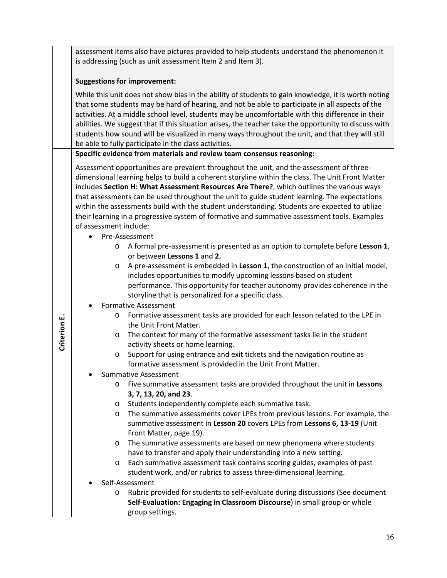assessment items also have pictures provided to help students understand the phenomenon it is addressing (such as unit assessment Item 2 and Item 3).

# **Suggestions for improvement:**

While this unit does not show bias in the ability of students to gain knowledge, it is worth noting that some students may be hard of hearing, and not be able to participate in all aspects of the activities. At a middle school level, students may be uncomfortable with this difference in their abilities. We suggest that if this situation arises, the teacher take the opportunity to discuss with students how sound will be visualized in many ways throughout the unit, and that they will still be able to fully participate in the class activities.

# **Specific evidence from materials and review team consensus reasoning:**

Assessment opportunities are prevalent throughout the unit, and the assessment of threedimensional learning helps to build a coherent storyline within the class. The Unit Front Matter includes **Section H: What Assessment Resources Are There?**, which outlines the various ways that assessments can be used throughout the unit to guide student learning. The expectations within the assessments build with the student understanding. Students are expected to utilize their learning in a progressive system of formative and summative assessment tools. Examples of assessment include:

- Pre-Assessment
	- o A formal pre-assessment is presented as an option to complete before **Lesson 1**, or between **Lessons 1** and **2.**
	- o A pre-assessment is embedded in **Lesson 1**, the construction of an initial model, includes opportunities to modify upcoming lessons based on student performance. This opportunity for teacher autonomy provides coherence in the storyline that is personalized for a specific class.
- Formative Assessment

**Criterion E.**

Criterion E.

- o Formative assessment tasks are provided for each lesson related to the LPE in the Unit Front Matter.
- o The context for many of the formative assessment tasks lie in the student activity sheets or home learning.
- o Support for using entrance and exit tickets and the navigation routine as formative assessment is provided in the Unit Front Matter.
- Summative Assessment
	- o Five summative assessment tasks are provided throughout the unit in **Lessons 3, 7, 13, 20, and 23**.
	- o Students independently complete each summative task.
	- o The summative assessments cover LPEs from previous lessons. For example, the summative assessment in **Lesson 20** covers LPEs from **Lessons 6, 13-19** (Unit Front Matter, page 19).
	- o The summative assessments are based on new phenomena where students have to transfer and apply their understanding into a new setting.
	- o Each summative assessment task contains scoring guides, examples of past student work, and/or rubrics to assess three-dimensional learning.
- Self-Assessment

o Rubric provided for students to self-evaluate during discussions (See document **Self-Evaluation: Engaging in Classroom Discourse**) in small group or whole group settings.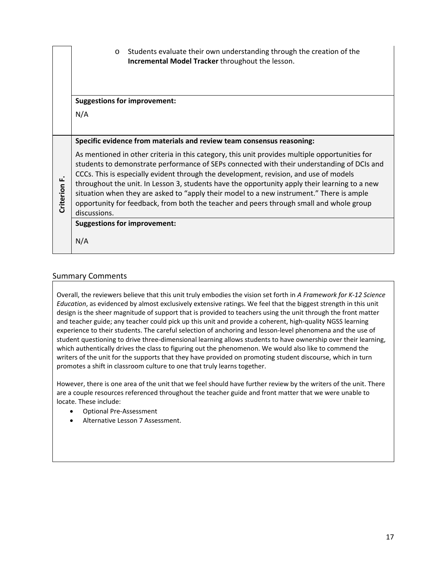|                 | Students evaluate their own understanding through the creation of the<br>$\circ$<br>Incremental Model Tracker throughout the lesson.                                                                                                                                                                                                                                                                                                                                                                                                                                                          |
|-----------------|-----------------------------------------------------------------------------------------------------------------------------------------------------------------------------------------------------------------------------------------------------------------------------------------------------------------------------------------------------------------------------------------------------------------------------------------------------------------------------------------------------------------------------------------------------------------------------------------------|
|                 | <b>Suggestions for improvement:</b>                                                                                                                                                                                                                                                                                                                                                                                                                                                                                                                                                           |
|                 | N/A                                                                                                                                                                                                                                                                                                                                                                                                                                                                                                                                                                                           |
|                 | Specific evidence from materials and review team consensus reasoning:                                                                                                                                                                                                                                                                                                                                                                                                                                                                                                                         |
| ட்<br>Criterion | As mentioned in other criteria in this category, this unit provides multiple opportunities for<br>students to demonstrate performance of SEPs connected with their understanding of DCIs and<br>CCCs. This is especially evident through the development, revision, and use of models<br>throughout the unit. In Lesson 3, students have the opportunity apply their learning to a new<br>situation when they are asked to "apply their model to a new instrument." There is ample<br>opportunity for feedback, from both the teacher and peers through small and whole group<br>discussions. |
|                 | <b>Suggestions for improvement:</b>                                                                                                                                                                                                                                                                                                                                                                                                                                                                                                                                                           |
|                 | N/A                                                                                                                                                                                                                                                                                                                                                                                                                                                                                                                                                                                           |

#### Summary Comments

Overall, the reviewers believe that this unit truly embodies the vision set forth in *A Framework for K-12 Science Education*, as evidenced by almost exclusively extensive ratings. We feel that the biggest strength in this unit design is the sheer magnitude of support that is provided to teachers using the unit through the front matter and teacher guide; any teacher could pick up this unit and provide a coherent, high-quality NGSS learning experience to their students. The careful selection of anchoring and lesson-level phenomena and the use of student questioning to drive three-dimensional learning allows students to have ownership over their learning, which authentically drives the class to figuring out the phenomenon. We would also like to commend the writers of the unit for the supports that they have provided on promoting student discourse, which in turn promotes a shift in classroom culture to one that truly learns together.

However, there is one area of the unit that we feel should have further review by the writers of the unit. There are a couple resources referenced throughout the teacher guide and front matter that we were unable to locate. These include:

- Optional Pre-Assessment
- Alternative Lesson 7 Assessment.